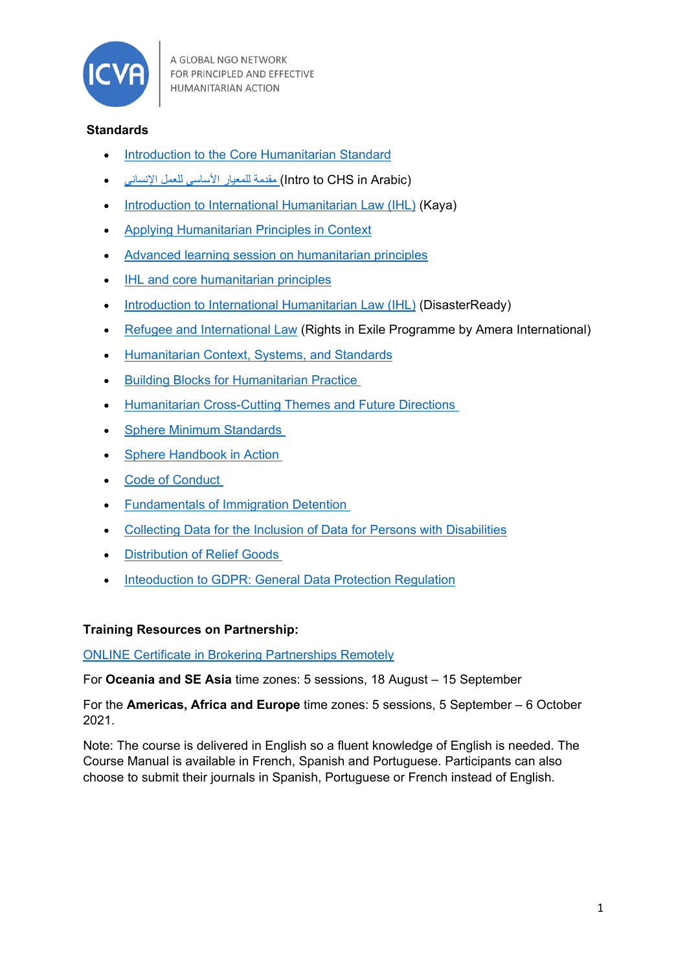

## **Standards**

- [Introduction to the Core Humanitarian Standard](https://kayaconnect.org/course/view.php?id=260)
- (Arabic in CHS to Intro (مقدمة للمعیار [الأساسي](https://kayaconnect.org/course/view.php?id=490) للعمل الإنساني •
- [Introduction to International Humanitarian Law \(IHL\)](https://kayaconnect.org/course/info.php?id=1284) (Kaya)
- [Applying Humanitarian Principles in Context](https://kayaconnect.org/course/info.php?id=929)
- [Advanced learning session on humanitarian principles](https://kayaconnect.org/course/info.php?id=705)
- [IHL and core humanitarian principles](https://kayaconnect.org/course/info.php?id=1060)
- [Introduction to International Humanitarian Law \(IHL\)](https://www.disasterready.org/international-humanitarian-law) (DisasterReady)
- [Refugee and International Law](https://www.refugeelegalaidinformation.org/training) (Rights in Exile Programme by Amera International)
- [Humanitarian Context, Systems, and Standards](https://ready.csod.com/ui/lms-learning-details/app/curriculum/c85ce6ed-2452-4217-9346-66b60cbb7283)
- [Building Blocks for Humanitarian Practice](https://ready.csod.com/ui/lms-learning-details/app/curriculum/e2492b55-fdc9-4bd5-b398-16751acbfb12)
- [Humanitarian Cross-Cutting Themes and Future Directions](https://ready.csod.com/ui/lms-learning-details/app/curriculum/1c8c4cca-e9d9-4c47-a12a-dfce56ce8e80)
- [Sphere Minimum Standards](https://ready.csod.com/ui/lms-learning-details/app/video/b6069b94-2ee9-4169-b668-006edae73e61)
- [Sphere Handbook in Action](https://ready.csod.com/ui/lms-learning-details/app/curriculum/089ec6ea-75b8-4dfe-b28c-05853988a344)
- Code [of Conduct](https://ready.csod.com/ui/lms-learning-details/app/video/1d0a6582-d4ef-4f07-9ee9-fb6a4227cc61)
- [Fundamentals of Immigration Detention](https://www.disasterready.org/immigration-detention)
- [Collecting Data for the Inclusion of Data for Persons with Disabilities](https://www.disasterready.org/collecting-data-for-inclusion)
- [Distribution of Relief Goods](https://ready.csod.com/ui/lms-learning-details/app/course/9c172663-0ec0-4c75-8a26-bb5f4617a34e)
- [Inteoduction to GDPR: General Data Protection Regulation](https://www.futurelearn.com/courses/gdpr)

## **Training Resources on Partnership:**

ONLINE [Certificate in Brokering Partnerships Remotely](https://www.remotepartnering.org/on-line-course/)

For **Oceania and SE Asia** time zones: 5 sessions, 18 August – 15 September

For the **Americas, Africa and Europe** time zones: 5 sessions, 5 September – 6 October 2021.

Note: The course is delivered in English so a fluent knowledge of English is needed. The Course Manual is available in French, Spanish and Portuguese. Participants can also choose to submit their journals in Spanish, Portuguese or French instead of English.